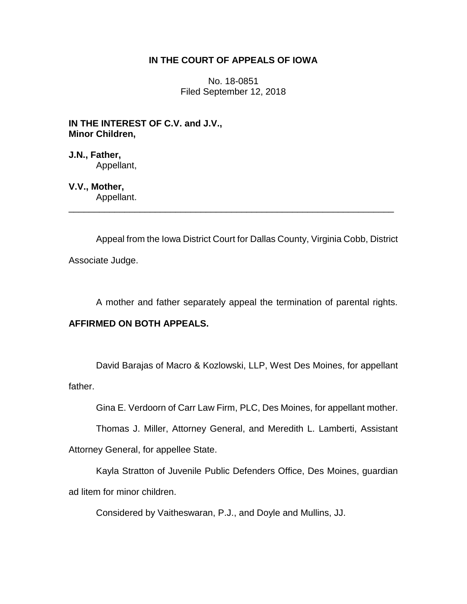## **IN THE COURT OF APPEALS OF IOWA**

No. 18-0851 Filed September 12, 2018

**IN THE INTEREST OF C.V. and J.V., Minor Children,**

**J.N., Father,** Appellant,

**V.V., Mother,**

Appellant. \_\_\_\_\_\_\_\_\_\_\_\_\_\_\_\_\_\_\_\_\_\_\_\_\_\_\_\_\_\_\_\_\_\_\_\_\_\_\_\_\_\_\_\_\_\_\_\_\_\_\_\_\_\_\_\_\_\_\_\_\_\_\_\_

Appeal from the Iowa District Court for Dallas County, Virginia Cobb, District Associate Judge.

A mother and father separately appeal the termination of parental rights.

# **AFFIRMED ON BOTH APPEALS.**

David Barajas of Macro & Kozlowski, LLP, West Des Moines, for appellant father.

Gina E. Verdoorn of Carr Law Firm, PLC, Des Moines, for appellant mother.

Thomas J. Miller, Attorney General, and Meredith L. Lamberti, Assistant

Attorney General, for appellee State.

Kayla Stratton of Juvenile Public Defenders Office, Des Moines, guardian ad litem for minor children.

Considered by Vaitheswaran, P.J., and Doyle and Mullins, JJ.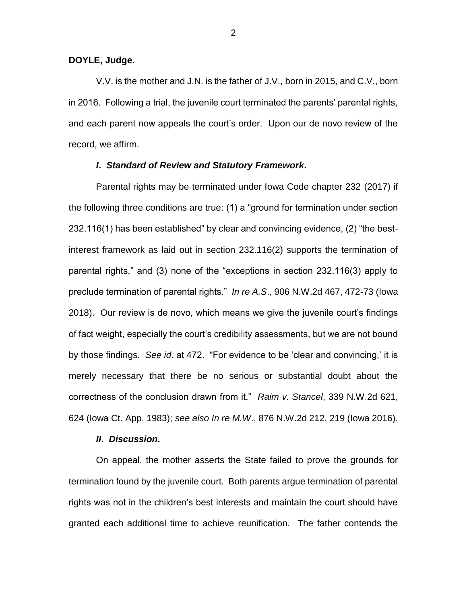#### **DOYLE, Judge.**

V.V. is the mother and J.N. is the father of J.V., born in 2015, and C.V., born in 2016. Following a trial, the juvenile court terminated the parents' parental rights, and each parent now appeals the court's order. Upon our de novo review of the record, we affirm.

#### *I***.** *Standard of Review and Statutory Framework***.**

Parental rights may be terminated under Iowa Code chapter 232 (2017) if the following three conditions are true: (1) a "ground for termination under section 232.116(1) has been established" by clear and convincing evidence, (2) "the bestinterest framework as laid out in section 232.116(2) supports the termination of parental rights," and (3) none of the "exceptions in section 232.116(3) apply to preclude termination of parental rights." *In re A.S*., 906 N.W.2d 467, 472-73 (Iowa 2018). Our review is de novo, which means we give the juvenile court's findings of fact weight, especially the court's credibility assessments, but we are not bound by those findings. *See id*. at 472. "For evidence to be 'clear and convincing,' it is merely necessary that there be no serious or substantial doubt about the correctness of the conclusion drawn from it." *Raim v. Stancel*, 339 N.W.2d 621, 624 (Iowa Ct. App. 1983); *see also In re M.W*., 876 N.W.2d 212, 219 (Iowa 2016).

#### *II***.** *Discussion***.**

On appeal, the mother asserts the State failed to prove the grounds for termination found by the juvenile court. Both parents argue termination of parental rights was not in the children's best interests and maintain the court should have granted each additional time to achieve reunification. The father contends the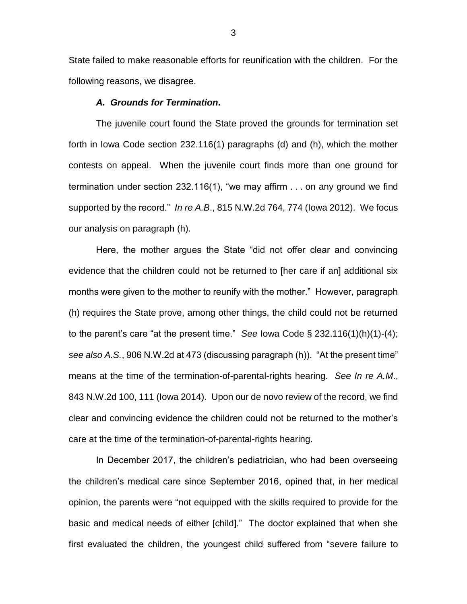State failed to make reasonable efforts for reunification with the children. For the following reasons, we disagree.

### *A.**Grounds for Termination***.**

The juvenile court found the State proved the grounds for termination set forth in Iowa Code section 232.116(1) paragraphs (d) and (h), which the mother contests on appeal. When the juvenile court finds more than one ground for termination under section 232.116(1), "we may affirm . . . on any ground we find supported by the record." *In re A.B*., 815 N.W.2d 764, 774 (Iowa 2012). We focus our analysis on paragraph (h).

Here, the mother argues the State "did not offer clear and convincing evidence that the children could not be returned to [her care if an] additional six months were given to the mother to reunify with the mother." However, paragraph (h) requires the State prove, among other things, the child could not be returned to the parent's care "at the present time." *See* Iowa Code § 232.116(1)(h)(1)-(4); *see also A.S.*, 906 N.W.2d at 473 (discussing paragraph (h)). "At the present time" means at the time of the termination-of-parental-rights hearing. *See In re A.M*., 843 N.W.2d 100, 111 (Iowa 2014). Upon our de novo review of the record, we find clear and convincing evidence the children could not be returned to the mother's care at the time of the termination-of-parental-rights hearing.

In December 2017, the children's pediatrician, who had been overseeing the children's medical care since September 2016, opined that, in her medical opinion, the parents were "not equipped with the skills required to provide for the basic and medical needs of either [child]." The doctor explained that when she first evaluated the children, the youngest child suffered from "severe failure to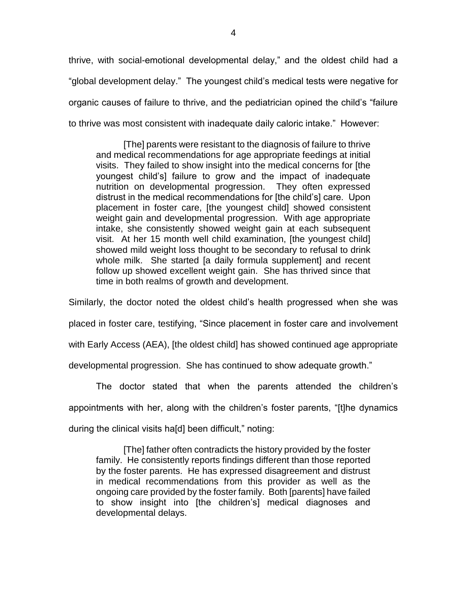thrive, with social-emotional developmental delay," and the oldest child had a "global development delay." The youngest child's medical tests were negative for organic causes of failure to thrive, and the pediatrician opined the child's "failure to thrive was most consistent with inadequate daily caloric intake." However:

[The] parents were resistant to the diagnosis of failure to thrive and medical recommendations for age appropriate feedings at initial visits. They failed to show insight into the medical concerns for [the youngest child's] failure to grow and the impact of inadequate nutrition on developmental progression. They often expressed distrust in the medical recommendations for [the child's] care. Upon placement in foster care, [the youngest child] showed consistent weight gain and developmental progression. With age appropriate intake, she consistently showed weight gain at each subsequent visit. At her 15 month well child examination, [the youngest child] showed mild weight loss thought to be secondary to refusal to drink whole milk. She started [a daily formula supplement] and recent follow up showed excellent weight gain. She has thrived since that time in both realms of growth and development.

Similarly, the doctor noted the oldest child's health progressed when she was

placed in foster care, testifying, "Since placement in foster care and involvement

with Early Access (AEA), [the oldest child] has showed continued age appropriate

developmental progression. She has continued to show adequate growth."

The doctor stated that when the parents attended the children's appointments with her, along with the children's foster parents, "[t]he dynamics during the clinical visits ha[d] been difficult," noting:

[The] father often contradicts the history provided by the foster family. He consistently reports findings different than those reported by the foster parents. He has expressed disagreement and distrust in medical recommendations from this provider as well as the ongoing care provided by the foster family. Both [parents] have failed to show insight into [the children's] medical diagnoses and developmental delays.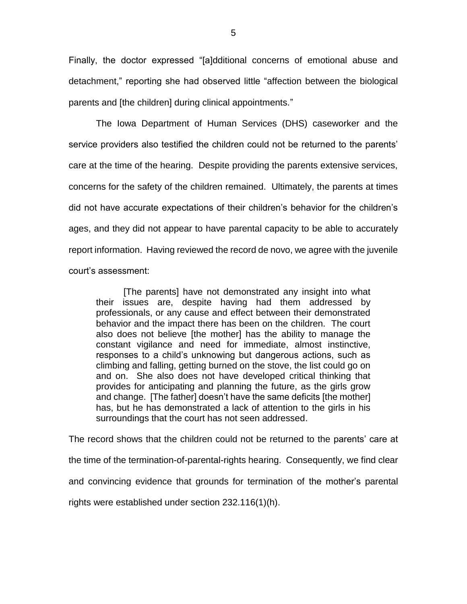Finally, the doctor expressed "[a]dditional concerns of emotional abuse and detachment," reporting she had observed little "affection between the biological parents and [the children] during clinical appointments."

The Iowa Department of Human Services (DHS) caseworker and the service providers also testified the children could not be returned to the parents' care at the time of the hearing. Despite providing the parents extensive services, concerns for the safety of the children remained. Ultimately, the parents at times did not have accurate expectations of their children's behavior for the children's ages, and they did not appear to have parental capacity to be able to accurately report information. Having reviewed the record de novo, we agree with the juvenile court's assessment:

[The parents] have not demonstrated any insight into what their issues are, despite having had them addressed by professionals, or any cause and effect between their demonstrated behavior and the impact there has been on the children. The court also does not believe [the mother] has the ability to manage the constant vigilance and need for immediate, almost instinctive, responses to a child's unknowing but dangerous actions, such as climbing and falling, getting burned on the stove, the list could go on and on. She also does not have developed critical thinking that provides for anticipating and planning the future, as the girls grow and change. [The father] doesn't have the same deficits [the mother] has, but he has demonstrated a lack of attention to the girls in his surroundings that the court has not seen addressed.

The record shows that the children could not be returned to the parents' care at the time of the termination-of-parental-rights hearing. Consequently, we find clear and convincing evidence that grounds for termination of the mother's parental rights were established under section 232.116(1)(h).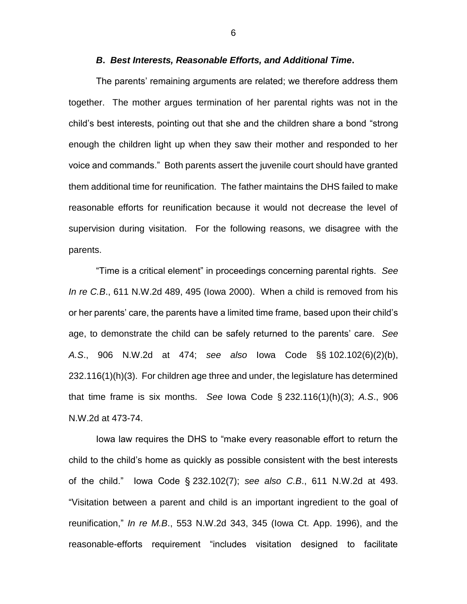#### *B***.** *Best Interests, Reasonable Efforts, and Additional Time***.**

The parents' remaining arguments are related; we therefore address them together. The mother argues termination of her parental rights was not in the child's best interests, pointing out that she and the children share a bond "strong enough the children light up when they saw their mother and responded to her voice and commands." Both parents assert the juvenile court should have granted them additional time for reunification. The father maintains the DHS failed to make reasonable efforts for reunification because it would not decrease the level of supervision during visitation. For the following reasons, we disagree with the parents.

"Time is a critical element" in proceedings concerning parental rights. *See In re C.B*., 611 N.W.2d 489, 495 (Iowa 2000). When a child is removed from his or her parents' care, the parents have a limited time frame, based upon their child's age, to demonstrate the child can be safely returned to the parents' care. *See A.S*., 906 N.W.2d at 474; *see also* Iowa Code §§ 102.102(6)(2)(b),  $232.116(1)(h)(3)$ . For children age three and under, the legislature has determined that time frame is six months. *See* Iowa Code § 232.116(1)(h)(3); *A.S*., 906 N.W.2d at 473-74.

Iowa law requires the DHS to "make every reasonable effort to return the child to the child's home as quickly as possible consistent with the best interests of the child." Iowa Code § 232.102(7); *see also C.B*., 611 N.W.2d at 493. "Visitation between a parent and child is an important ingredient to the goal of reunification," *In re M.B*., 553 N.W.2d 343, 345 (Iowa Ct. App. 1996), and the reasonable-efforts requirement "includes visitation designed to facilitate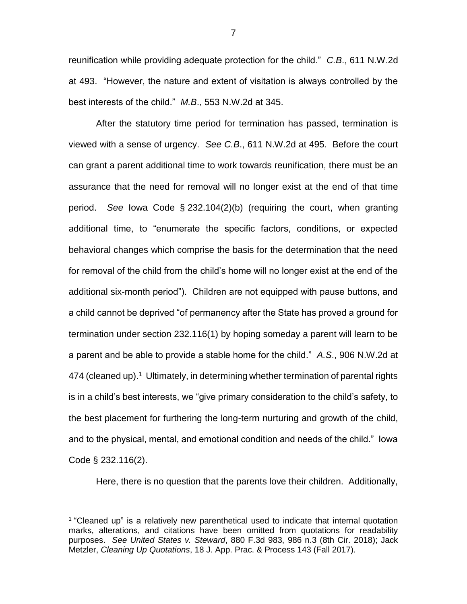reunification while providing adequate protection for the child." *C.B*., 611 N.W.2d at 493. "However, the nature and extent of visitation is always controlled by the best interests of the child." *M.B*., 553 N.W.2d at 345.

After the statutory time period for termination has passed, termination is viewed with a sense of urgency. *See C.B*., 611 N.W.2d at 495. Before the court can grant a parent additional time to work towards reunification, there must be an assurance that the need for removal will no longer exist at the end of that time period. *See* Iowa Code § 232.104(2)(b) (requiring the court, when granting additional time, to "enumerate the specific factors, conditions, or expected behavioral changes which comprise the basis for the determination that the need for removal of the child from the child's home will no longer exist at the end of the additional six-month period"). Children are not equipped with pause buttons, and a child cannot be deprived "of permanency after the State has proved a ground for termination under section 232.116(1) by hoping someday a parent will learn to be a parent and be able to provide a stable home for the child." *A.S*., 906 N.W.2d at 474 (cleaned up).<sup>1</sup> Ultimately, in determining whether termination of parental rights is in a child's best interests, we "give primary consideration to the child's safety, to the best placement for furthering the long-term nurturing and growth of the child, and to the physical, mental, and emotional condition and needs of the child." Iowa Code § 232.116(2).

Here, there is no question that the parents love their children. Additionally,

 $\overline{a}$ 

<sup>&</sup>lt;sup>1</sup> "Cleaned up" is a relatively new parenthetical used to indicate that internal quotation marks, alterations, and citations have been omitted from quotations for readability purposes. *See United States v. Steward*, 880 F.3d 983, 986 n.3 (8th Cir. 2018); Jack Metzler, *Cleaning Up Quotations*, 18 J. App. Prac. & Process 143 (Fall 2017).